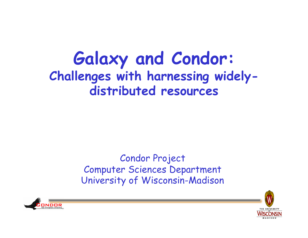#### **Galaxy and Condor: Challenges with harnessing widelydistributed resources**

#### Condor Project Computer Sciences Department University of Wisconsin-Madison



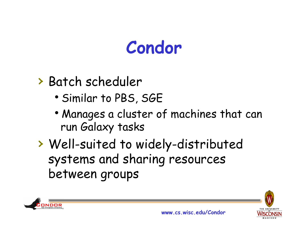### **Condor**

#### › Batch scheduler

- Similar to PBS, SGE
- Manages a cluster of machines that can run Galaxy tasks
- › Well-suited to widely-distributed systems and sharing resources between groups



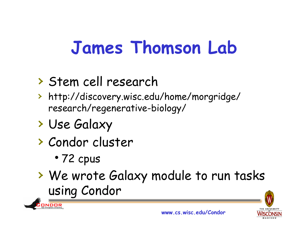# **James Thomson Lab**

#### › Stem cell research

- › http://discovery.wisc.edu/home/morgridge/ research/regenerative-biology/
- › Use Galaxy
- › Condor cluster
	- 72 cpus

**ONDOR** 

› We wrote Galaxy module to run tasks using Condor



**www.cs.wisc.edu/Condor**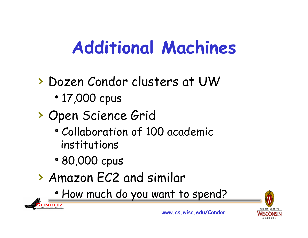# **Additional Machines**

- › Dozen Condor clusters at UW • 17,000 cpus
- › Open Science Grid
	- Collaboration of 100 academic institutions
	- 80,000 cpus

ONDOR

- › Amazon EC2 and similar
	- How much do you want to spend?

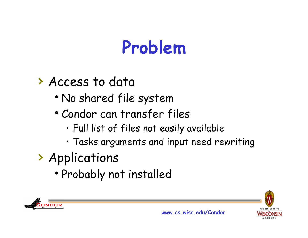# **Problem**

#### › Access to data

- No shared file system
- Condor can transfer files
	- Full list of files not easily available
	- Tasks arguments and input need rewriting
- › Applications
	- Probably not installed



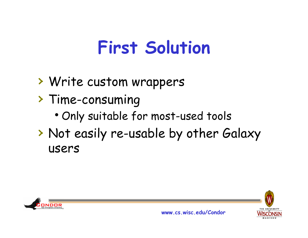### **First Solution**

- › Write custom wrappers
- › Time-consuming
	- . Only suitable for most-used tools
- › Not easily re-usable by other Galaxy users